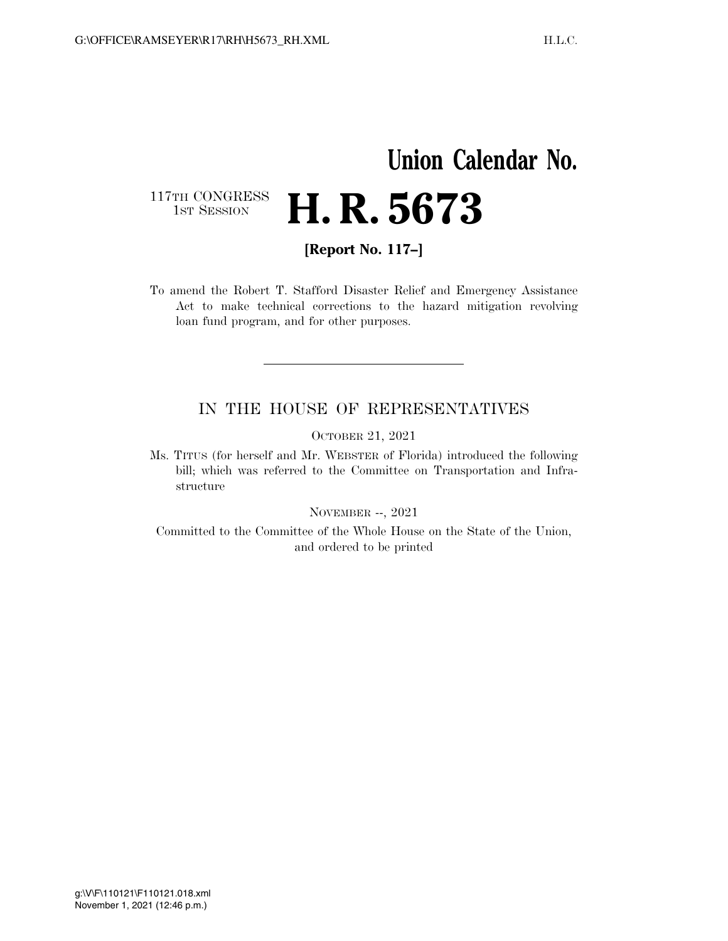## **Union Calendar No.**  117TH CONGRESS<br>1st Session H. R. 5673

**[Report No. 117–]** 

To amend the Robert T. Stafford Disaster Relief and Emergency Assistance Act to make technical corrections to the hazard mitigation revolving loan fund program, and for other purposes.

## IN THE HOUSE OF REPRESENTATIVES

OCTOBER 21, 2021

Ms. TITUS (for herself and Mr. WEBSTER of Florida) introduced the following bill; which was referred to the Committee on Transportation and Infrastructure

NOVEMBER --, 2021

Committed to the Committee of the Whole House on the State of the Union, and ordered to be printed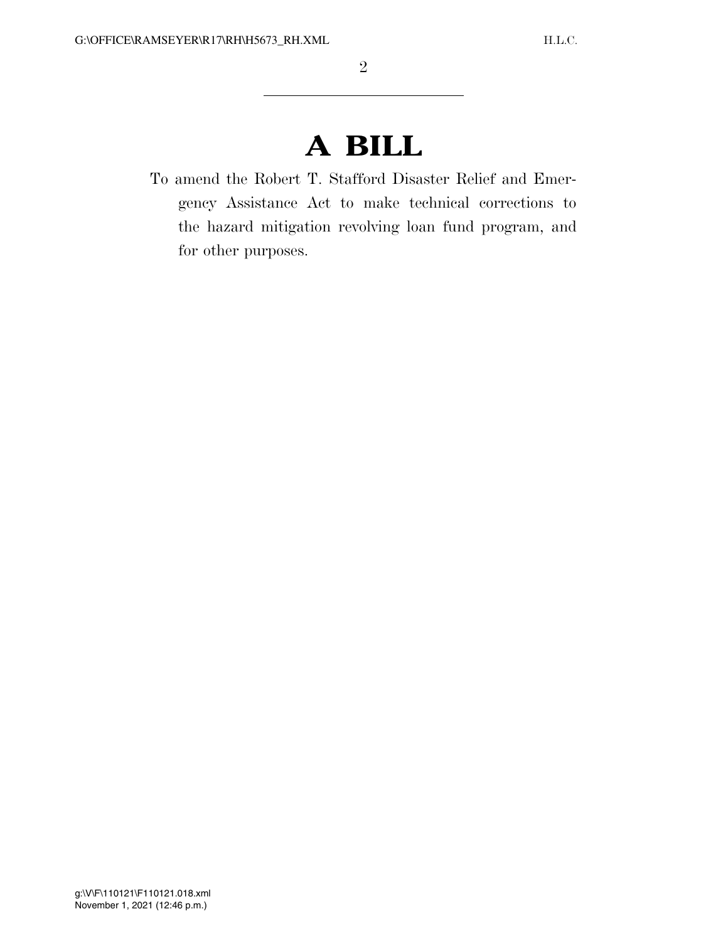## **A BILL**

To amend the Robert T. Stafford Disaster Relief and Emergency Assistance Act to make technical corrections to the hazard mitigation revolving loan fund program, and for other purposes.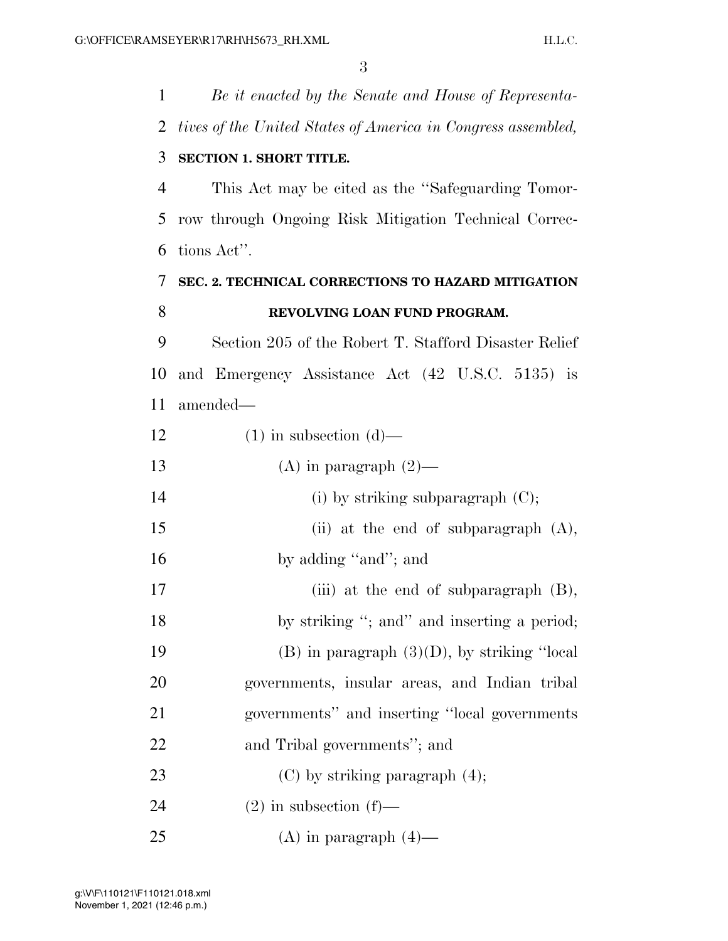3

 *Be it enacted by the Senate and House of Representa- tives of the United States of America in Congress assembled,*  **SECTION 1. SHORT TITLE.**  This Act may be cited as the ''Safeguarding Tomor- row through Ongoing Risk Mitigation Technical Correc- tions Act''. **SEC. 2. TECHNICAL CORRECTIONS TO HAZARD MITIGATION REVOLVING LOAN FUND PROGRAM.**  Section 205 of the Robert T. Stafford Disaster Relief and Emergency Assistance Act (42 U.S.C. 5135) is amended—  $(1)$  in subsection  $(d)$ — 13 (A) in paragraph  $(2)$ — 14 (i) by striking subparagraph (C); (ii) at the end of subparagraph (A), 16 by adding "and"; and 17 (iii) at the end of subparagraph (B), 18 by striking "; and inserting a period; 19 (B) in paragraph  $(3)(D)$ , by striking "local governments, insular areas, and Indian tribal governments'' and inserting ''local governments and Tribal governments''; and 23 (C) by striking paragraph  $(4)$ ; 24 (2) in subsection  $(f)$ — 25 (A) in paragraph  $(4)$ —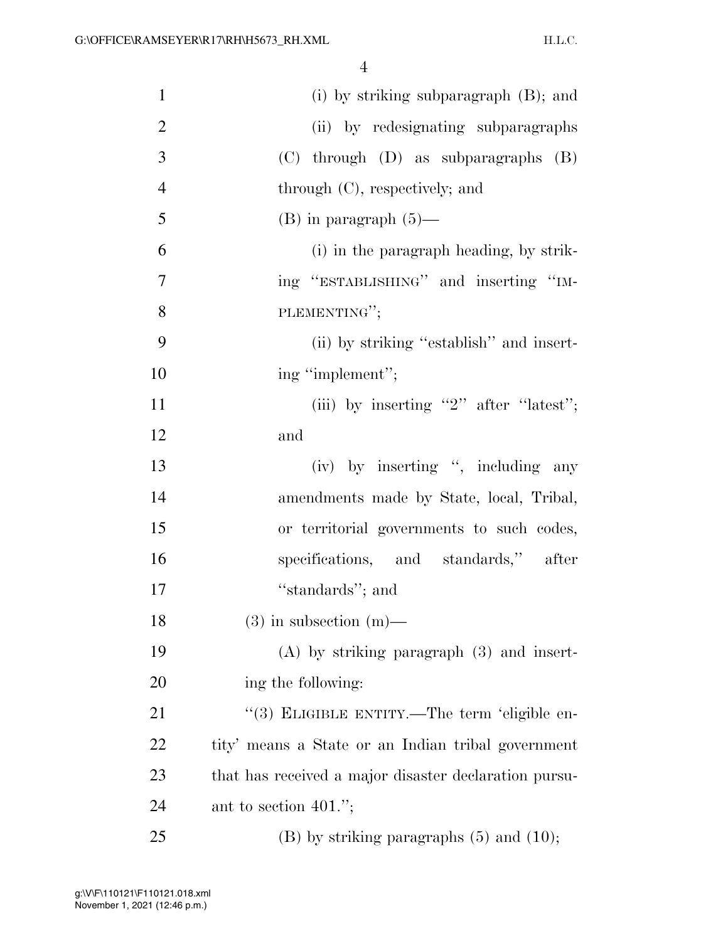4

| $\mathbf{1}$   | $(i)$ by striking subparagraph $(B)$ ; and            |
|----------------|-------------------------------------------------------|
| $\overline{2}$ | (ii) by redesignating subparagraphs                   |
| 3              | $(C)$ through $(D)$ as subparagraphs $(B)$            |
| $\overline{4}$ | through (C), respectively; and                        |
| 5              | $(B)$ in paragraph $(5)$ —                            |
| 6              | (i) in the paragraph heading, by strik-               |
| 7              | ing "ESTABLISHING" and inserting "IM-                 |
| 8              | PLEMENTING";                                          |
| 9              | (ii) by striking "establish" and insert-              |
| 10             | ing "implement";                                      |
| 11             | (iii) by inserting "2" after "latest";                |
| 12             | and                                                   |
| 13             | (iv) by inserting ", including any                    |
| 14             | amendments made by State, local, Tribal,              |
| 15             | or territorial governments to such codes,             |
| 16             | specifications, and standards," after                 |
| 17             | "standards"; and                                      |
| 18             | $(3)$ in subsection $(m)$ —                           |
| 19             | $(A)$ by striking paragraph $(3)$ and insert-         |
| 20             | ing the following:                                    |
| 21             | "(3) ELIGIBLE ENTITY.—The term 'eligible en-          |
| 22             | tity' means a State or an Indian tribal government    |
| 23             | that has received a major disaster declaration pursu- |
| 24             | ant to section $401$ .";                              |
| 25             | $(B)$ by striking paragraphs $(5)$ and $(10)$ ;       |